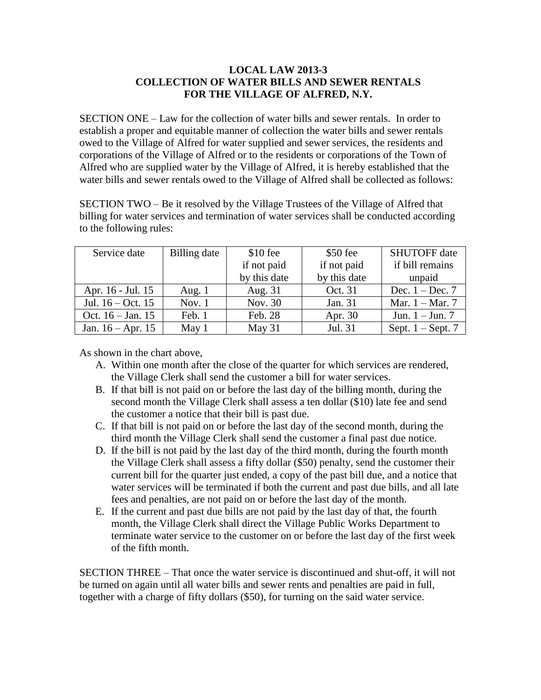## **LOCAL LAW 2013-3 COLLECTION OF WATER BILLS AND SEWER RENTALS FOR THE VILLAGE OF ALFRED, N.Y.**

SECTION ONE – Law for the collection of water bills and sewer rentals. In order to establish a proper and equitable manner of collection the water bills and sewer rentals owed to the Village of Alfred for water supplied and sewer services, the residents and corporations of the Village of Alfred or to the residents or corporations of the Town of Alfred who are supplied water by the Village of Alfred, it is hereby established that the water bills and sewer rentals owed to the Village of Alfred shall be collected as follows:<br>SECTION TWO – Be it resolved by the Village Trustees of the Village of Alfred that

billing for water services and termination of water services shall be conducted according to the following rules:

| Service date        | Billing date | $$10$ fee    | $$50$ fee    | <b>SHUTOFF</b> date |
|---------------------|--------------|--------------|--------------|---------------------|
|                     |              | if not paid  | if not paid  | if bill remains     |
|                     |              | by this date | by this date | unpaid              |
| Apr. 16 - Jul. 15   | Aug. $1$     | Aug. 31      | Oct. 31      | Dec. $1 - Dec. 7$   |
| Jul. $16 - Oct. 15$ | Nov. $1$     | Nov. 30      | Jan. 31      | Mar. $1 -$ Mar. 7   |
| Oct. $16 - Jan. 15$ | Feb. 1       | Feb. 28      | Apr. 30      | Jun. $1 -$ Jun. 7   |
| Jan. $16 - Apr. 15$ | May 1        | May 31       | Jul. 31      | Sept. $1 -$ Sept. 7 |

As shown in the chart above,

- A. Within one month after the close of the quarter for which services are rendered, the Village Clerk shall send the customer a bill for water services.
- B. If that bill is not paid on or before the last day of the billing month, during the second month the Village Clerk shall assess a ten dollar (\$10) late fee and send the customer a notice that their bill is past due.
- C. If that bill is not paid on or before the last day of the second month, during the third month the Village Clerk shall send the customer a final past due notice.
- D. If the bill is not paid by the last day of the third month, during the fourth month the Village Clerk shall assess a fifty dollar (\$50) penalty, send the customer their current bill for the quarter just ended, a copy of the past bill due, and a notice that water services will be terminated if both the current and past due bills, and all late fees and penalties, are not paid on or before the last day of the month.
- E. If the current and past due bills are not paid by the last day of that, the fourth month, the Village Clerk shall direct the Village Public Works Department to terminate water service to the customer on or before the last day of the first week of the fifth month.

SECTION THREE – That once the water service is discontinued and shut-off, it will not be turned on again until all water bills and sewer rents and penalties are paid in full, together with a charge of fifty dollars (\$50), for turning on the said water service.